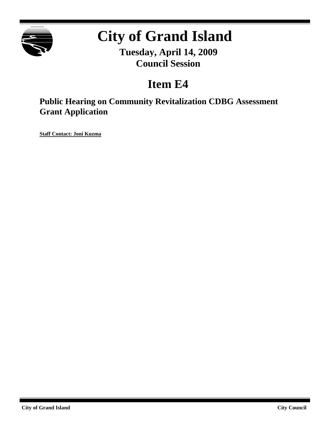

# **City of Grand Island**

**Tuesday, April 14, 2009 Council Session**

## **Item E4**

**Public Hearing on Community Revitalization CDBG Assessment Grant Application**

**Staff Contact: Joni Kuzma**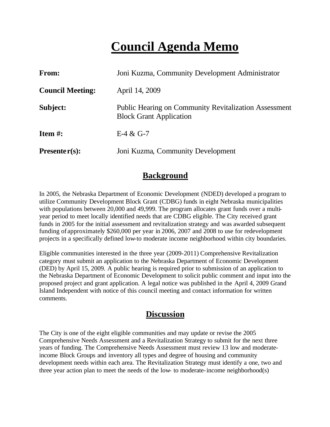## **Council Agenda Memo**

| <b>From:</b>            | Joni Kuzma, Community Development Administrator                                                |  |  |  |
|-------------------------|------------------------------------------------------------------------------------------------|--|--|--|
| <b>Council Meeting:</b> | April 14, 2009                                                                                 |  |  |  |
| Subject:                | <b>Public Hearing on Community Revitalization Assessment</b><br><b>Block Grant Application</b> |  |  |  |
| Item $#$ :              | $E-4 & G-7$                                                                                    |  |  |  |
| Presenter $(s)$ :       | Joni Kuzma, Community Development                                                              |  |  |  |

### **Background**

In 2005, the Nebraska Department of Economic Development (NDED) developed a program to utilize Community Development Block Grant (CDBG) funds in eight Nebraska municipalities with populations between 20,000 and 49,999. The program allocates grant funds over a multiyear period to meet locally identified needs that are CDBG eligible. The City received grant funds in 2005 for the initial assessment and revitalization strategy and was awarded subsequent funding of approximately \$260,000 per year in 2006, 2007 and 2008 to use for redevelopment projects in a specifically defined low-to moderate income neighborhood within city boundaries.

Eligible communities interested in the three year (2009-2011) Comprehensive Revitalization category must submit an application to the Nebraska Department of Economic Development (DED) by April 15, 2009. A public hearing is required prior to submission of an application to the Nebraska Department of Economic Development to solicit public comment and input into the proposed project and grant application. A legal notice was published in the April 4, 2009 Grand Island Independent with notice of this council meeting and contact information for written comments.

## **Discussion**

The City is one of the eight eligible communities and may update or revise the 2005 Comprehensive Needs Assessment and a Revitalization Strategy to submit for the next three years of funding. The Comprehensive Needs Assessment must review 13 low and moderateincome Block Groups and inventory all types and degree of housing and community development needs within each area. The Revitalization Strategy must identify a one, two and three year action plan to meet the needs of the low- to moderate-income neighborhood(s)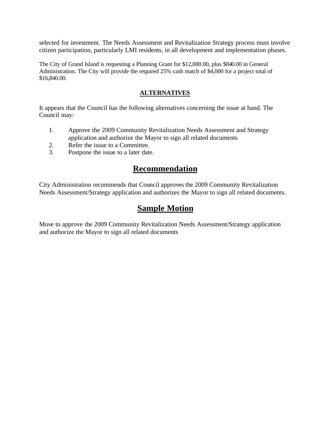selected for investment. The Needs Assessment and Revitalization Strategy process must involve citizen participation, particularly LMI residents, in all development and implementation phases.

The City of Grand Island is requesting a Planning Grant for \$12,000.00, plus \$840.00 in General Administration. The City will provide the required 25% cash match of \$4,000 for a project total of \$16,840.00.

#### **ALTERNATIVES**

It appears that the Council has the following alternatives concerning the issue at hand. The Council may:

- 1. Approve the 2009 Community Revitalization Needs Assessment and Strategy application and authorize the Mayor to sign all related documents
- 2. Refer the issue to a Committee.
- 3. Postpone the issue to a later date.

## **Recommendation**

City Administration recommends that Council approves the 2009 Community Revitalization Needs Assessment/Strategy application and authorizes the Mayor to sign all related documents.

## **Sample Motion**

Move to approve the 2009 Community Revitalization Needs Assessment/Strategy application and authorize the Mayor to sign all related documents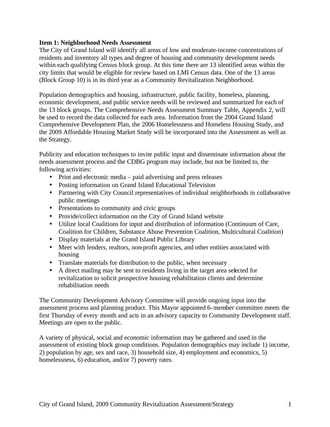#### **Item 1: Neighborhood Needs Assessment**

The City of Grand Island will identify all areas of low and moderate-income concentrations of residents and inventory all types and degree of housing and community development needs within each qualifying Census block group. At this time there are 13 identified areas within the city limits that would be eligible for review based on LMI Census data. One of the 13 areas (Block Group 10) is in its third year as a Community Revitalization Neighborhood.

Population demographics and housing, infrastructure, public facility, homeless, planning, economic development, and public service needs will be reviewed and summarized for each of the 13 block groups. The Comprehensive Needs Assessment Summary Table, Appendix 2, will be used to record the data collected for each area. Information from the 2004 Grand Island Comprehensive Development Plan, the 2006 Homelessness and Homeless Housing Study, and the 2009 Affordable Housing Market Study will be incorporated into the Assessment as well as the Strategy.

Publicity and education techniques to invite public input and disseminate information about the needs assessment process and the CDBG program may include, but not be limited to, the following activities:

- Print and electronic media paid advertising and press releases
- Posting information on Grand Island Educational Television
- Partnering with City Council representatives of individual neighborhoods in collaborative public meetings
- Presentations to community and civic groups
- Provide/collect information on the City of Grand Island website
- Utilize local Coalitions for input and distribution of information (Continuum of Care, Coalition for Children, Substance Abuse Prevention Coalition, Multicultural Coalition)
- Display materials at the Grand Island Public Library
- Meet with lenders, realtors, non-profit agencies, and other entities associated with housing
- Translate materials for distribution to the public, when necessary
- A direct mailing may be sent to residents living in the target area selected for revitalization to solicit prospective housing rehabilitation clients and determine rehabilitation needs

The Community Development Advisory Committee will provide ongoing input into the assessment process and planning product. This Mayor appointed 6-member committee meets the first Thursday of every month and acts in an advisory capacity to Community Development staff. Meetings are open to the public.

A variety of physical, social and economic information may be gathered and used in the assessment of existing block group conditions. Population demographics may include 1) income, 2) population by age, sex and race, 3) household size, 4) employment and economics, 5) homelessness, 6) education, and/or 7) poverty rates.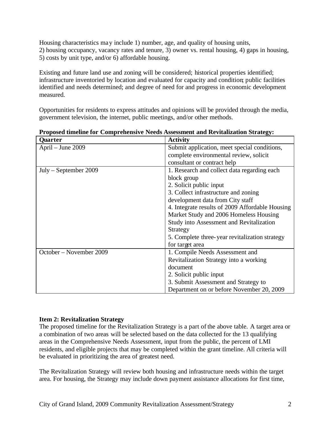Housing characteristics may include 1) number, age, and quality of housing units, 2) housing occupancy, vacancy rates and tenure, 3) owner vs. rental housing, 4) gaps in housing, 5) costs by unit type, and/or 6) affordable housing.

Existing and future land use and zoning will be considered; historical properties identified; infrastructure inventoried by location and evaluated for capacity and condition; public facilities identified and needs determined; and degree of need for and progress in economic development measured.

Opportunities for residents to express attitudes and opinions will be provided through the media, government television, the internet, public meetings, and/or other methods.

| <b>Quarter</b>          | <b>Activity</b>                                 |  |  |
|-------------------------|-------------------------------------------------|--|--|
| April – June 2009       | Submit application, meet special conditions,    |  |  |
|                         | complete environmental review, solicit          |  |  |
|                         | consultant or contract help                     |  |  |
| $July - September 2009$ | 1. Research and collect data regarding each     |  |  |
|                         | block group                                     |  |  |
|                         | 2. Solicit public input                         |  |  |
|                         | 3. Collect infrastructure and zoning            |  |  |
|                         | development data from City staff                |  |  |
|                         | 4. Integrate results of 2009 Affordable Housing |  |  |
|                         | Market Study and 2006 Homeless Housing          |  |  |
|                         | <b>Study into Assessment and Revitalization</b> |  |  |
|                         | Strategy                                        |  |  |
|                         | 5. Complete three-year revitalization strategy  |  |  |
|                         | for target area                                 |  |  |
| October – November 2009 | 1. Compile Needs Assessment and                 |  |  |
|                         | Revitalization Strategy into a working          |  |  |
|                         | document                                        |  |  |
|                         | 2. Solicit public input                         |  |  |
|                         | 3. Submit Assessment and Strategy to            |  |  |
|                         | Department on or before November 20, 2009       |  |  |

**Proposed timeline for Comprehensive Needs Assessment and Revitalization Strategy:**

#### **Item 2: Revitalization Strategy**

The proposed timeline for the Revitalization Strategy is a part of the above table. A target area or a combination of two areas will be selected based on the data collected for the 13 qualifying areas in the Comprehensive Needs Assessment, input from the public, the percent of LMI residents, and eligible projects that may be completed within the grant timeline. All criteria will be evaluated in prioritizing the area of greatest need.

The Revitalization Strategy will review both housing and infrastructure needs within the target area. For housing, the Strategy may include down payment assistance allocations for first time,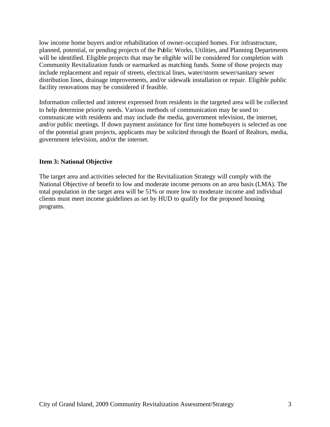low income home buyers and/or rehabilitation of owner-occupied homes. For infrastructure, planned, potential, or pending projects of the Public Works, Utilities, and Planning Departments will be identified. Eligible projects that may be eligible will be considered for completion with Community Revitalization funds or earmarked as matching funds. Some of those projects may include replacement and repair of streets, electrical lines, water/storm sewer/sanitary sewer distribution lines, drainage improvements, and/or sidewalk installation or repair. Eligible public facility renovations may be considered if feasible.

Information collected and interest expressed from residents in the targeted area will be collected to help determine priority needs. Various methods of communication may be used to communicate with residents and may include the media, government television, the internet, and/or public meetings. If down payment assistance for first time homebuyers is selected as one of the potential grant projects, applicants may be solicited through the Board of Realtors, media, government television, and/or the internet.

#### **Item 3: National Objective**

The target area and activities selected for the Revitalization Strategy will comply with the National Objective of benefit to low and moderate income persons on an area basis (LMA). The total population in the target area will be 51% or more low to moderate income and individual clients must meet income guidelines as set by HUD to qualify for the proposed housing programs.